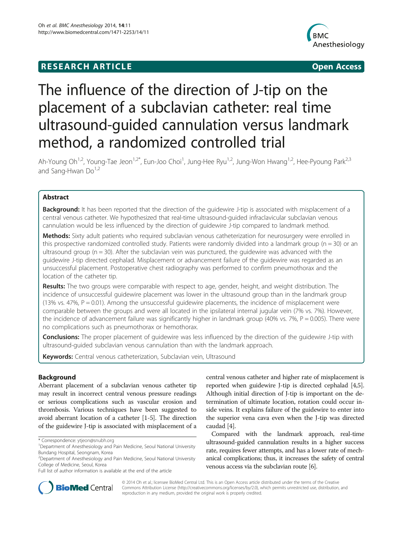# **RESEARCH ARTICLE CONSUMING A RESEARCH ARTICLE**



# The influence of the direction of J-tip on the placement of a subclavian catheter: real time ultrasound-guided cannulation versus landmark method, a randomized controlled trial

Ah-Young Oh<sup>1,2</sup>, Young-Tae Jeon<sup>1,2\*</sup>, Eun-Joo Choi<sup>1</sup>, Jung-Hee Ryu<sup>1,2</sup>, Jung-Won Hwang<sup>1,2</sup>, Hee-Pyoung Park<sup>2,3</sup> and Sang-Hwan  $Do<sup>1,2</sup>$ 

## Abstract

Background: It has been reported that the direction of the quidewire J-tip is associated with misplacement of a central venous catheter. We hypothesized that real-time ultrasound-guided infraclavicular subclavian venous cannulation would be less influenced by the direction of guidewire J-tip compared to landmark method.

Methods: Sixty adult patients who required subclavian venous catheterization for neurosurgery were enrolled in this prospective randomized controlled study. Patients were randomly divided into a landmark group ( $n = 30$ ) or an ultrasound group ( $n = 30$ ). After the subclavian vein was punctured, the quidewire was advanced with the guidewire J-tip directed cephalad. Misplacement or advancement failure of the guidewire was regarded as an unsuccessful placement. Postoperative chest radiography was performed to confirm pneumothorax and the location of the catheter tip.

Results: The two groups were comparable with respect to age, gender, height, and weight distribution. The incidence of unsuccessful guidewire placement was lower in the ultrasound group than in the landmark group (13% vs. 47%,  $P = 0.01$ ). Among the unsuccessful guidewire placements, the incidence of misplacement were comparable between the groups and were all located in the ipsilateral internal jugular vein (7% vs. 7%). However, the incidence of advancement failure was significantly higher in landmark group (40% vs. 7%,  $P = 0.005$ ). There were no complications such as pneumothorax or hemothorax.

**Conclusions:** The proper placement of quidewire was less influenced by the direction of the quidewire J-tip with ultrasound-guided subclavian venous cannulation than with the landmark approach.

Keywords: Central venous catheterization, Subclavian vein, Ultrasound

### Background

Aberrant placement of a subclavian venous catheter tip may result in incorrect central venous pressure readings or serious complications such as vascular erosion and thrombosis. Various techniques have been suggested to avoid aberrant location of a catheter [\[1-5](#page-3-0)]. The direction of the guidewire J-tip is associated with misplacement of a

central venous catheter and higher rate of misplacement is reported when guidewire J-tip is directed cephalad [[4,5](#page-3-0)]. Although initial direction of J-tip is important on the determination of ultimate location, rotation could occur inside veins. It explains failure of the guidewire to enter into the superior vena cava even when the J-tip was directed caudad [[4\]](#page-3-0).

Compared with the landmark approach, real-time ultrasound-guided cannulation results in a higher success rate, requires fewer attempts, and has a lower rate of mechanical complications; thus, it increases the safety of central venous access via the subclavian route [\[6](#page-3-0)].



© 2014 Oh et al.; licensee BioMed Central Ltd. This is an Open Access article distributed under the terms of the Creative Commons Attribution License [\(http://creativecommons.org/licenses/by/2.0\)](http://creativecommons.org/licenses/by/2.0), which permits unrestricted use, distribution, and reproduction in any medium, provided the original work is properly credited.

<sup>\*</sup> Correspondence: [ytjeon@snubh.org](mailto:ytjeon@snubh.org) <sup>1</sup>

<sup>&</sup>lt;sup>1</sup>Department of Anesthesiology and Pain Medicine, Seoul National University Bundang Hospital, Seongnam, Korea

<sup>2</sup> Department of Anesthesiology and Pain Medicine, Seoul National University College of Medicine, Seoul, Korea

Full list of author information is available at the end of the article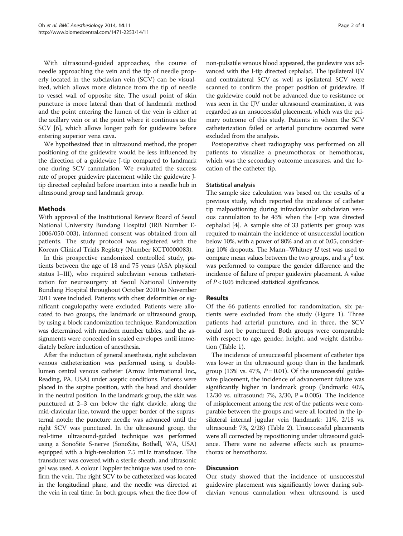With ultrasound-guided approaches, the course of needle approaching the vein and the tip of needle properly located in the subclavian vein (SCV) can be visualized, which allows more distance from the tip of needle to vessel wall of opposite site. The usual point of skin puncture is more lateral than that of landmark method and the point entering the lumen of the vein is either at the axillary vein or at the point where it continues as the SCV [\[6](#page-3-0)], which allows longer path for guidewire before entering superior vena cava.

We hypothesized that in ultrasound method, the proper positioning of the guidewire would be less influenced by the direction of a guidewire J-tip compared to landmark one during SCV cannulation. We evaluated the success rate of proper guidewire placement while the guidewire Jtip directed cephalad before insertion into a needle hub in ultrasound group and landmark group.

#### Methods

With approval of the Institutional Review Board of Seoul National University Bundang Hospital (IRB Number E-1006/050-003), informed consent was obtained from all patients. The study protocol was registered with the Korean Clinical Trials Registry (Number KCT0000083).

In this prospective randomized controlled study, patients between the age of 18 and 75 years (ASA physical status I–III), who required subclavian venous catheterization for neurosurgery at Seoul National University Bundang Hospital throughout October 2010 to November 2011 were included. Patients with chest deformities or significant coagulopathy were excluded. Patients were allocated to two groups, the landmark or ultrasound group, by using a block randomization technique. Randomization was determined with random number tables, and the assignments were concealed in sealed envelopes until immediately before induction of anesthesia.

After the induction of general anesthesia, right subclavian venous catheterization was performed using a doublelumen central venous catheter (Arrow International Inc., Reading, PA, USA) under aseptic conditions. Patients were placed in the supine position, with the head and shoulder in the neutral position. In the landmark group, the skin was punctured at 2–3 cm below the right clavicle, along the mid-clavicular line, toward the upper border of the suprasternal notch; the puncture needle was advanced until the right SCV was punctured. In the ultrasound group, the real-time ultrasound-guided technique was performed using a SonoSite S-nerve (SonoSite, Bothell, WA, USA) equipped with a high-resolution 7.5 mHz transducer. The transducer was covered with a sterile sheath, and ultrasonic gel was used. A colour Doppler technique was used to confirm the vein. The right SCV to be catheterized was located in the longitudinal plane, and the needle was directed at the vein in real time. In both groups, when the free flow of

non-pulsatile venous blood appeared, the guidewire was advanced with the J-tip directed cephalad. The ipsilateral IJV and contralateral SCV as well as ipsilateral SCV were scanned to confirm the proper position of guidewire. If the guidewire could not be advanced due to resistance or was seen in the IJV under ultrasound examination, it was regarded as an unsuccessful placement, which was the primary outcome of this study. Patients in whom the SCV catheterization failed or arterial puncture occurred were excluded from the analysis.

Postoperative chest radiography was performed on all patients to visualize a pneumothorax or hemothorax, which was the secondary outcome measures, and the location of the catheter tip.

#### Statistical analysis

The sample size calculation was based on the results of a previous study, which reported the incidence of catheter tip malpositioning during infraclavicular subclavian venous cannulation to be 43% when the J-tip was directed cephalad [[4](#page-3-0)]. A sample size of 33 patients per group was required to maintain the incidence of unsuccessful location below 10%, with a power of 80% and an  $\alpha$  of 0.05, considering 10% dropouts. The Mann–Whitney U test was used to compare mean values between the two groups, and a  $\chi^2$  test was performed to compare the gender difference and the incidence of failure of proper guidewire placement. A value of  $P < 0.05$  indicated statistical significance.

#### Results

Of the 66 patients enrolled for randomization, six patients were excluded from the study (Figure [1](#page-2-0)). Three patients had arterial puncture, and in three, the SCV could not be punctured. Both groups were comparable with respect to age, gender, height, and weight distribution (Table [1](#page-2-0)).

The incidence of unsuccessful placement of catheter tips was lower in the ultrasound group than in the landmark group (13% vs. 47%,  $P = 0.01$ ). Of the unsuccessful guidewire placement, the incidence of advancement failure was significantly higher in landmark group (landmark: 40%, 12/30 vs. ultrasound: 7%, 2/30,  $P = 0.005$ ). The incidence of misplacement among the rest of the patients were comparable between the groups and were all located in the ipsilateral internal jugular vein (landmark: 11%, 2/18 vs. ultrasound: 7%, 2/28) (Table [2](#page-2-0)). Unsuccessful placements were all corrected by repositioning under ultrasound guidance. There were no adverse effects such as pneumothorax or hemothorax.

#### **Discussion**

Our study showed that the incidence of unsuccessful guidewire placement was significantly lower during subclavian venous cannulation when ultrasound is used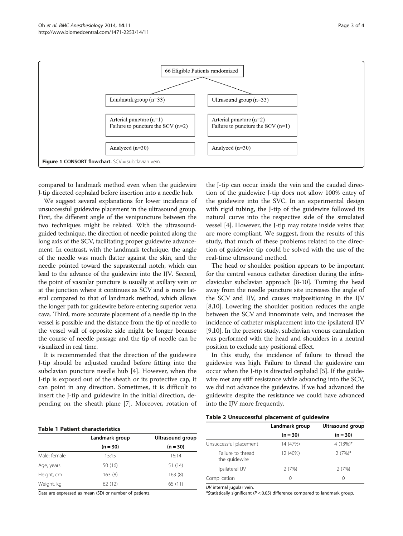<span id="page-2-0"></span>

compared to landmark method even when the guidewire J-tip directed cephalad before insertion into a needle hub.

We suggest several explanations for lower incidence of unsuccessful guidewire placement in the ultrasound group. First, the different angle of the venipuncture between the two techniques might be related. With the ultrasoundguided technique, the direction of needle pointed along the long axis of the SCV, facilitating proper guidewire advancement. In contrast, with the landmark technique, the angle of the needle was much flatter against the skin, and the needle pointed toward the suprasternal notch, which can lead to the advance of the guidewire into the IJV. Second, the point of vascular puncture is usually at axillary vein or at the junction where it continues as SCV and is more lateral compared to that of landmark method, which allows the longer path for guidewire before entering superior vena cava. Third, more accurate placement of a needle tip in the vessel is possible and the distance from the tip of needle to the vessel wall of opposite side might be longer because the course of needle passage and the tip of needle can be visualized in real time.

It is recommended that the direction of the guidewire J-tip should be adjusted caudad before fitting into the subclavian puncture needle hub [\[4](#page-3-0)]. However, when the J-tip is exposed out of the sheath or its protective cap, it can point in any direction. Sometimes, it is difficult to insert the J-tip and guidewire in the initial direction, depending on the sheath plane [[7\]](#page-3-0). Moreover, rotation of

the J-tip can occur inside the vein and the caudad direction of the guidewire J-tip does not allow 100% entry of the guidewire into the SVC. In an experimental design with rigid tubing, the J-tip of the guidewire followed its natural curve into the respective side of the simulated vessel [\[4](#page-3-0)]. However, the J-tip may rotate inside veins that are more compliant. We suggest, from the results of this study, that much of these problems related to the direction of guidewire tip could be solved with the use of the real-time ultrasound method.

The head or shoulder position appears to be important for the central venous catheter direction during the infraclavicular subclavian approach [\[8](#page-3-0)-[10](#page-3-0)]. Turning the head away from the needle puncture site increases the angle of the SCV and IJV, and causes malpositioning in the IJV [[8,10](#page-3-0)]. Lowering the shoulder position reduces the angle between the SCV and innominate vein, and increases the incidence of catheter misplacement into the ipsilateral IJV [[9,10](#page-3-0)]. In the present study, subclavian venous cannulation was performed with the head and shoulders in a neutral position to exclude any positional effect.

In this study, the incidence of failure to thread the guidewire was high. Failure to thread the guidewire can occur when the J-tip is directed cephalad [[5\]](#page-3-0). If the guidewire met any stiff resistance while advancing into the SCV, we did not advance the guidewire. If we had advanced the guidewire despite the resistance we could have advanced into the IJV more frequently.

| Table 1 Patient characteristics |  |  |  |  |
|---------------------------------|--|--|--|--|
|---------------------------------|--|--|--|--|

|              | Landmark group | Ultrasound group |  |
|--------------|----------------|------------------|--|
|              | $(n = 30)$     | $(n = 30)$       |  |
| Male: female | 15:15          | 16:14            |  |
| Age, years   | 50 (16)        | 51 (14)          |  |
| Height, cm   | 163(8)         | 163(8)           |  |
| Weight, kg   | 62(12)         | 65 (11)          |  |

Data are expressed as mean (SD) or number of patients.

#### Table 2 Unsuccessful placement of guidewire

|                                    | Landmark group   | Ultrasound group |  |
|------------------------------------|------------------|------------------|--|
|                                    | $(n = 30)$       | $(n = 30)$       |  |
| Unsuccessful placement             | 14 (47%)         | 4 $(13%)$ *      |  |
| Failure to thread<br>the quidewire | 12 (40%)         | $2(7%)$ *        |  |
| Ipsilateral IJV                    | 2(7%)            | 2(7%)            |  |
| Complication                       | $\left( \right)$ | $\left( \right)$ |  |

IJV internal jugular vein.

\*Statistically significant ( $P < 0.05$ ) difference compared to landmark group.